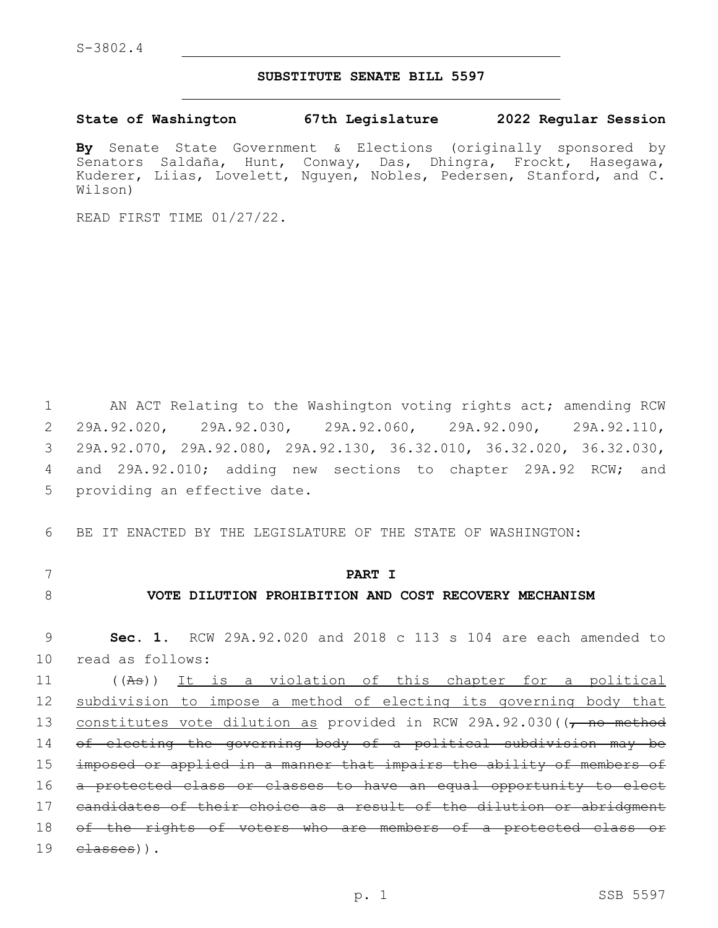### **SUBSTITUTE SENATE BILL 5597**

**State of Washington 67th Legislature 2022 Regular Session**

**By** Senate State Government & Elections (originally sponsored by Senators Saldaña, Hunt, Conway, Das, Dhingra, Frockt, Hasegawa, Kuderer, Liias, Lovelett, Nguyen, Nobles, Pedersen, Stanford, and C. Wilson)

READ FIRST TIME 01/27/22.

1 AN ACT Relating to the Washington voting rights act; amending RCW 2 29A.92.020, 29A.92.030, 29A.92.060, 29A.92.090, 29A.92.110, 3 29A.92.070, 29A.92.080, 29A.92.130, 36.32.010, 36.32.020, 36.32.030, 4 and 29A.92.010; adding new sections to chapter 29A.92 RCW; and 5 providing an effective date.

6 BE IT ENACTED BY THE LEGISLATURE OF THE STATE OF WASHINGTON:

## 7 **PART I**

# 8 **VOTE DILUTION PROHIBITION AND COST RECOVERY MECHANISM**

9 **Sec. 1.** RCW 29A.92.020 and 2018 c 113 s 104 are each amended to 10 read as follows:

 ((As)) It is a violation of this chapter for a political subdivision to impose a method of electing its governing body that 13 constitutes vote dilution as provided in RCW 29A.92.030((, no method of electing the governing body of a political subdivision may be imposed or applied in a manner that impairs the ability of members of a protected class or classes to have an equal opportunity to elect candidates of their choice as a result of the dilution or abridgment 18 of the rights of voters who are members of a protected class or  $\epsilon$  lasses)).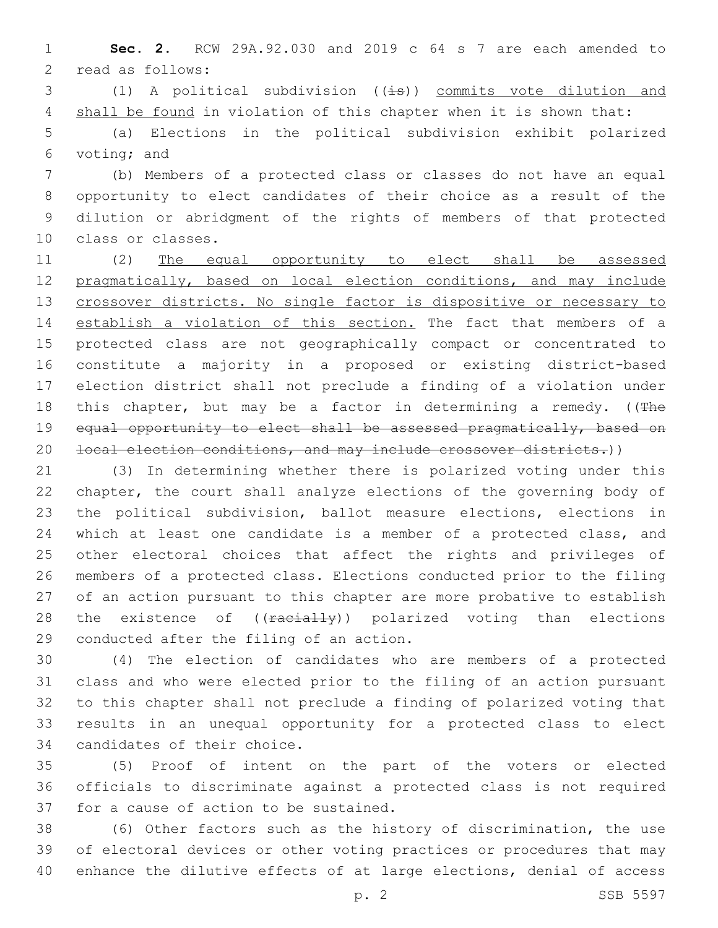**Sec. 2.** RCW 29A.92.030 and 2019 c 64 s 7 are each amended to 2 read as follows:

3 (1) A political subdivision  $((\pm s))$  commits vote dilution and 4 shall be found in violation of this chapter when it is shown that:

 (a) Elections in the political subdivision exhibit polarized 6 voting; and

 (b) Members of a protected class or classes do not have an equal opportunity to elect candidates of their choice as a result of the dilution or abridgment of the rights of members of that protected 10 class or classes.

 (2) The equal opportunity to elect shall be assessed pragmatically, based on local election conditions, and may include 13 crossover districts. No single factor is dispositive or necessary to establish a violation of this section. The fact that members of a protected class are not geographically compact or concentrated to constitute a majority in a proposed or existing district-based election district shall not preclude a finding of a violation under 18 this chapter, but may be a factor in determining a remedy. ( $(The$ 19 equal opportunity to elect shall be assessed pragmatically, based on 20 local election conditions, and may include crossover districts.))

 (3) In determining whether there is polarized voting under this chapter, the court shall analyze elections of the governing body of the political subdivision, ballot measure elections, elections in which at least one candidate is a member of a protected class, and other electoral choices that affect the rights and privileges of members of a protected class. Elections conducted prior to the filing of an action pursuant to this chapter are more probative to establish 28 the existence of ((racially)) polarized voting than elections 29 conducted after the filing of an action.

 (4) The election of candidates who are members of a protected class and who were elected prior to the filing of an action pursuant to this chapter shall not preclude a finding of polarized voting that results in an unequal opportunity for a protected class to elect 34 candidates of their choice.

 (5) Proof of intent on the part of the voters or elected officials to discriminate against a protected class is not required 37 for a cause of action to be sustained.

 (6) Other factors such as the history of discrimination, the use of electoral devices or other voting practices or procedures that may enhance the dilutive effects of at large elections, denial of access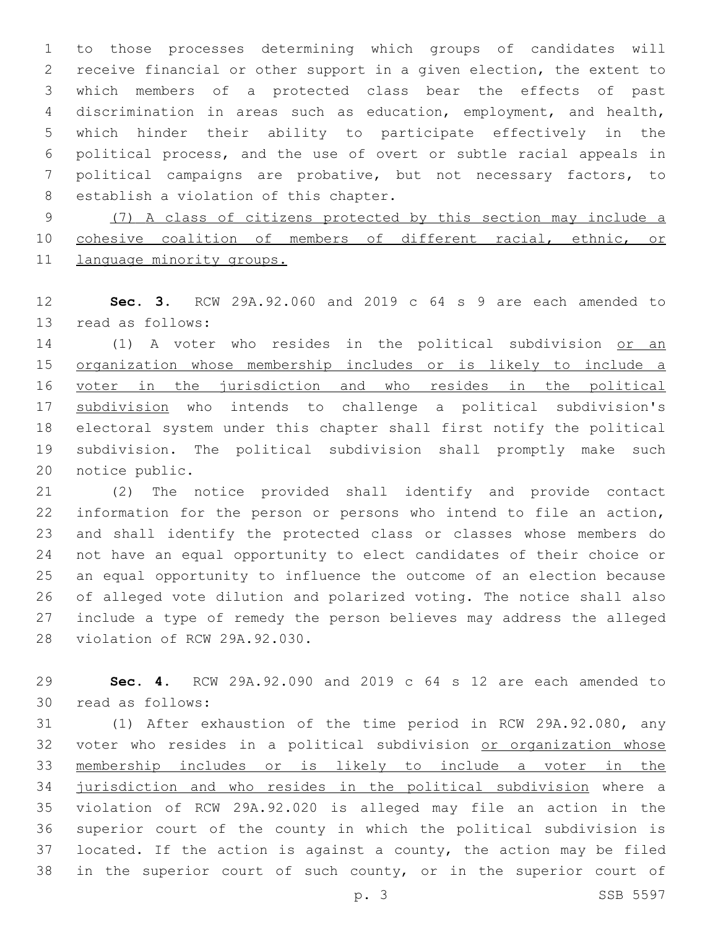to those processes determining which groups of candidates will receive financial or other support in a given election, the extent to which members of a protected class bear the effects of past discrimination in areas such as education, employment, and health, which hinder their ability to participate effectively in the political process, and the use of overt or subtle racial appeals in political campaigns are probative, but not necessary factors, to 8 establish a violation of this chapter.

 (7) A class of citizens protected by this section may include a cohesive coalition of members of different racial, ethnic, or 11 language minority groups.

 **Sec. 3.** RCW 29A.92.060 and 2019 c 64 s 9 are each amended to 13 read as follows:

14 (1) A voter who resides in the political subdivision or an organization whose membership includes or is likely to include a 16 voter in the jurisdiction and who resides in the political subdivision who intends to challenge a political subdivision's electoral system under this chapter shall first notify the political subdivision. The political subdivision shall promptly make such 20 notice public.

 (2) The notice provided shall identify and provide contact information for the person or persons who intend to file an action, and shall identify the protected class or classes whose members do not have an equal opportunity to elect candidates of their choice or an equal opportunity to influence the outcome of an election because of alleged vote dilution and polarized voting. The notice shall also include a type of remedy the person believes may address the alleged 28 violation of RCW 29A.92.030.

 **Sec. 4.** RCW 29A.92.090 and 2019 c 64 s 12 are each amended to 30 read as follows:

 (1) After exhaustion of the time period in RCW 29A.92.080, any 32 voter who resides in a political subdivision or organization whose membership includes or is likely to include a voter in the jurisdiction and who resides in the political subdivision where a violation of RCW 29A.92.020 is alleged may file an action in the superior court of the county in which the political subdivision is located. If the action is against a county, the action may be filed in the superior court of such county, or in the superior court of

p. 3 SSB 5597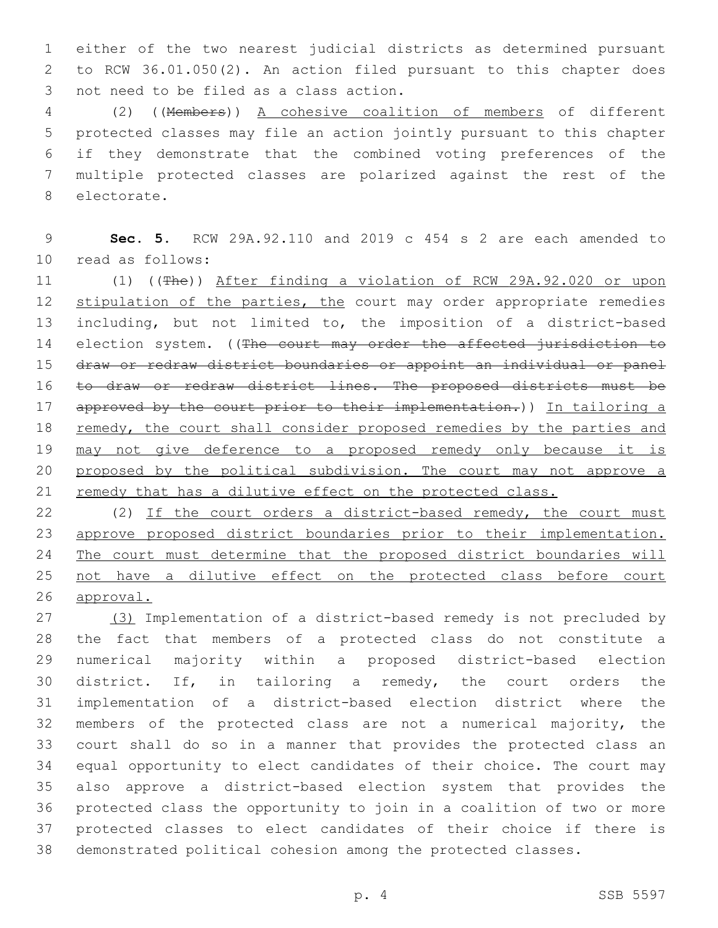either of the two nearest judicial districts as determined pursuant to RCW 36.01.050(2). An action filed pursuant to this chapter does 3 not need to be filed as a class action.

 (2) ((Members)) A cohesive coalition of members of different protected classes may file an action jointly pursuant to this chapter if they demonstrate that the combined voting preferences of the multiple protected classes are polarized against the rest of the 8 electorate.

 **Sec. 5.** RCW 29A.92.110 and 2019 c 454 s 2 are each amended to read as follows:10

 (1) ((The)) After finding a violation of RCW 29A.92.020 or upon 12 stipulation of the parties, the court may order appropriate remedies including, but not limited to, the imposition of a district-based 14 election system. ((The court may order the affected jurisdiction to draw or redraw district boundaries or appoint an individual or panel to draw or redraw district lines. The proposed districts must be 17 approved by the court prior to their implementation.)) In tailoring a 18 remedy, the court shall consider proposed remedies by the parties and may not give deference to a proposed remedy only because it is 20 proposed by the political subdivision. The court may not approve a 21 remedy that has a dilutive effect on the protected class.

22 (2) If the court orders a district-based remedy, the court must approve proposed district boundaries prior to their implementation. The court must determine that the proposed district boundaries will not have a dilutive effect on the protected class before court approval.

 (3) Implementation of a district-based remedy is not precluded by the fact that members of a protected class do not constitute a numerical majority within a proposed district-based election district. If, in tailoring a remedy, the court orders the implementation of a district-based election district where the members of the protected class are not a numerical majority, the court shall do so in a manner that provides the protected class an equal opportunity to elect candidates of their choice. The court may also approve a district-based election system that provides the protected class the opportunity to join in a coalition of two or more protected classes to elect candidates of their choice if there is demonstrated political cohesion among the protected classes.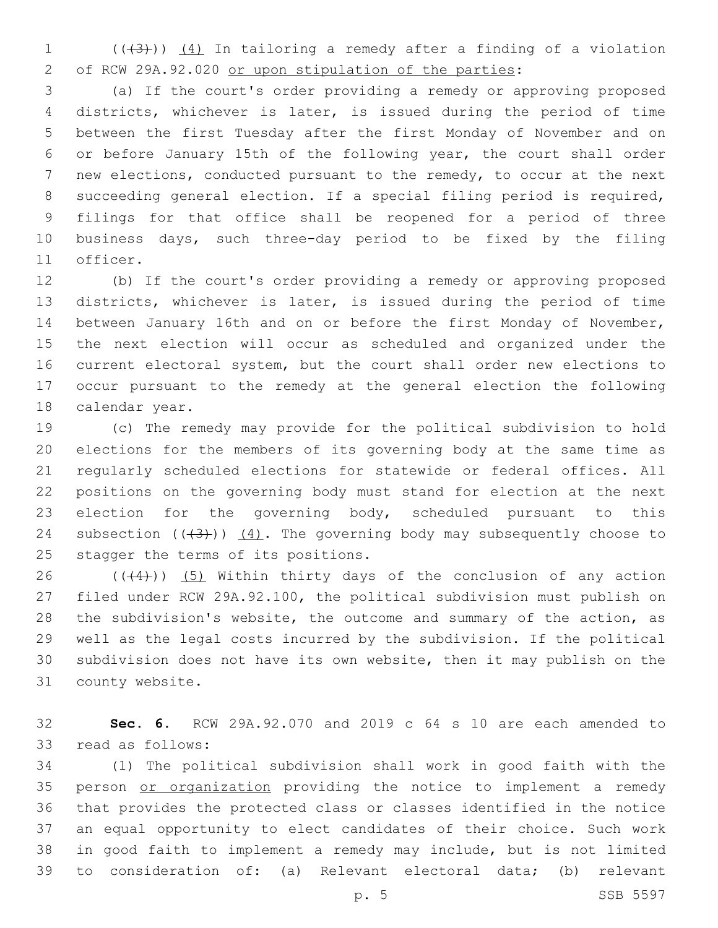(( $(3)$ ))  $(4)$  In tailoring a remedy after a finding of a violation of RCW 29A.92.020 or upon stipulation of the parties:

 (a) If the court's order providing a remedy or approving proposed districts, whichever is later, is issued during the period of time between the first Tuesday after the first Monday of November and on or before January 15th of the following year, the court shall order new elections, conducted pursuant to the remedy, to occur at the next succeeding general election. If a special filing period is required, filings for that office shall be reopened for a period of three business days, such three-day period to be fixed by the filing 11 officer.

 (b) If the court's order providing a remedy or approving proposed districts, whichever is later, is issued during the period of time between January 16th and on or before the first Monday of November, the next election will occur as scheduled and organized under the current electoral system, but the court shall order new elections to occur pursuant to the remedy at the general election the following 18 calendar year.

 (c) The remedy may provide for the political subdivision to hold elections for the members of its governing body at the same time as regularly scheduled elections for statewide or federal offices. All positions on the governing body must stand for election at the next 23 election for the governing body, scheduled pursuant to this 24 subsection  $((+3+))$   $(4)$ . The governing body may subsequently choose to 25 stagger the terms of its positions.

 $((44))$   $(5)$  Within thirty days of the conclusion of any action filed under RCW 29A.92.100, the political subdivision must publish on the subdivision's website, the outcome and summary of the action, as well as the legal costs incurred by the subdivision. If the political subdivision does not have its own website, then it may publish on the 31 county website.

 **Sec. 6.** RCW 29A.92.070 and 2019 c 64 s 10 are each amended to 33 read as follows:

 (1) The political subdivision shall work in good faith with the 35 person or organization providing the notice to implement a remedy that provides the protected class or classes identified in the notice an equal opportunity to elect candidates of their choice. Such work in good faith to implement a remedy may include, but is not limited to consideration of: (a) Relevant electoral data; (b) relevant

p. 5 SSB 5597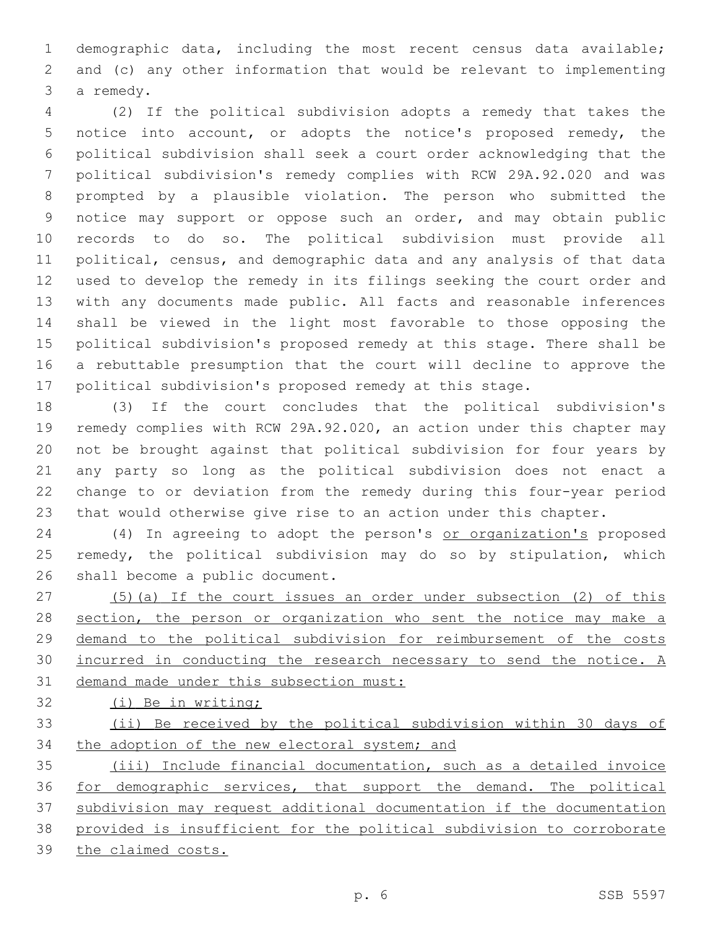demographic data, including the most recent census data available; and (c) any other information that would be relevant to implementing 3 a remedy.

 (2) If the political subdivision adopts a remedy that takes the notice into account, or adopts the notice's proposed remedy, the political subdivision shall seek a court order acknowledging that the political subdivision's remedy complies with RCW 29A.92.020 and was prompted by a plausible violation. The person who submitted the notice may support or oppose such an order, and may obtain public records to do so. The political subdivision must provide all political, census, and demographic data and any analysis of that data used to develop the remedy in its filings seeking the court order and with any documents made public. All facts and reasonable inferences shall be viewed in the light most favorable to those opposing the political subdivision's proposed remedy at this stage. There shall be a rebuttable presumption that the court will decline to approve the political subdivision's proposed remedy at this stage.

 (3) If the court concludes that the political subdivision's remedy complies with RCW 29A.92.020, an action under this chapter may not be brought against that political subdivision for four years by any party so long as the political subdivision does not enact a change to or deviation from the remedy during this four-year period that would otherwise give rise to an action under this chapter.

24 (4) In agreeing to adopt the person's or organization's proposed remedy, the political subdivision may do so by stipulation, which 26 shall become a public document.

 (5)(a) If the court issues an order under subsection (2) of this 28 section, the person or organization who sent the notice may make a demand to the political subdivision for reimbursement of the costs incurred in conducting the research necessary to send the notice. A demand made under this subsection must:

(i) Be in writing;

 (ii) Be received by the political subdivision within 30 days of 34 the adoption of the new electoral system; and

 (iii) Include financial documentation, such as a detailed invoice for demographic services, that support the demand. The political subdivision may request additional documentation if the documentation provided is insufficient for the political subdivision to corroborate the claimed costs.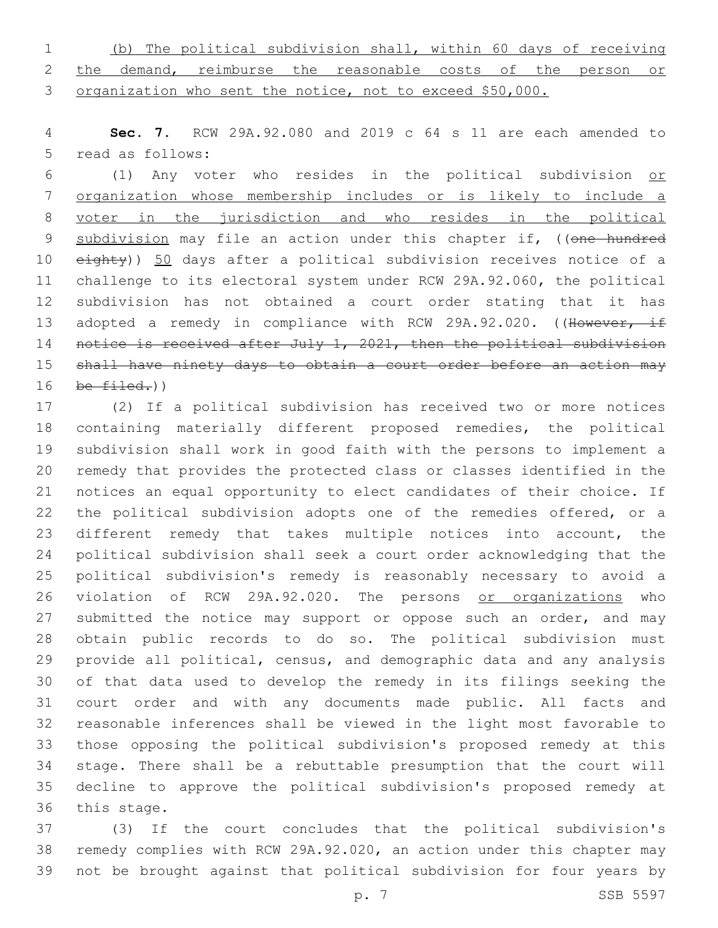(b) The political subdivision shall, within 60 days of receiving 2 the demand, reimburse the reasonable costs of the person or organization who sent the notice, not to exceed \$50,000.

 **Sec. 7.** RCW 29A.92.080 and 2019 c 64 s 11 are each amended to 5 read as follows:

 (1) Any voter who resides in the political subdivision or organization whose membership includes or is likely to include a voter in the jurisdiction and who resides in the political 9 subdivision may file an action under this chapter if, ((one hundred 10 eighty)) 50 days after a political subdivision receives notice of a challenge to its electoral system under RCW 29A.92.060, the political subdivision has not obtained a court order stating that it has 13 adopted a remedy in compliance with RCW 29A.92.020. ((However, if 14 notice is received after July 1, 2021, then the political subdivision 15 shall have ninety days to obtain a court order before an action may be  $filed.)$ )

 (2) If a political subdivision has received two or more notices containing materially different proposed remedies, the political subdivision shall work in good faith with the persons to implement a remedy that provides the protected class or classes identified in the notices an equal opportunity to elect candidates of their choice. If the political subdivision adopts one of the remedies offered, or a different remedy that takes multiple notices into account, the political subdivision shall seek a court order acknowledging that the political subdivision's remedy is reasonably necessary to avoid a violation of RCW 29A.92.020. The persons or organizations who 27 submitted the notice may support or oppose such an order, and may obtain public records to do so. The political subdivision must provide all political, census, and demographic data and any analysis of that data used to develop the remedy in its filings seeking the court order and with any documents made public. All facts and reasonable inferences shall be viewed in the light most favorable to those opposing the political subdivision's proposed remedy at this stage. There shall be a rebuttable presumption that the court will decline to approve the political subdivision's proposed remedy at 36 this stage.

 (3) If the court concludes that the political subdivision's remedy complies with RCW 29A.92.020, an action under this chapter may not be brought against that political subdivision for four years by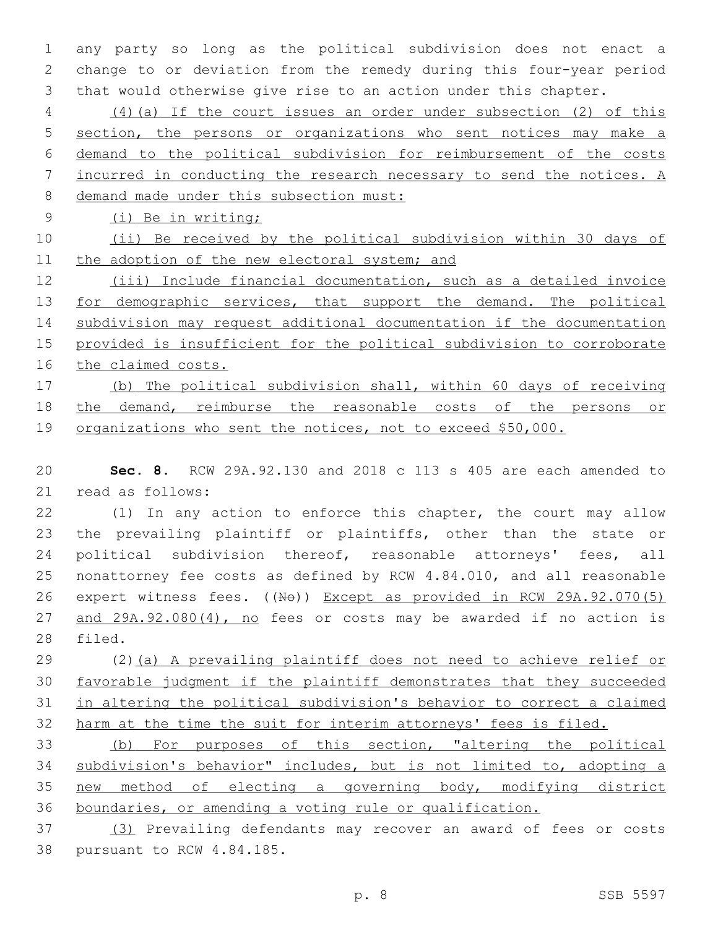any party so long as the political subdivision does not enact a change to or deviation from the remedy during this four-year period that would otherwise give rise to an action under this chapter.

 (4)(a) If the court issues an order under subsection (2) of this section, the persons or organizations who sent notices may make a demand to the political subdivision for reimbursement of the costs incurred in conducting the research necessary to send the notices. A demand made under this subsection must:

(i) Be in writing;

 (ii) Be received by the political subdivision within 30 days of 11 the adoption of the new electoral system; and

 (iii) Include financial documentation, such as a detailed invoice 13 for demographic services, that support the demand. The political subdivision may request additional documentation if the documentation provided is insufficient for the political subdivision to corroborate 16 the claimed costs.

 (b) The political subdivision shall, within 60 days of receiving the demand, reimburse the reasonable costs of the persons or 19 organizations who sent the notices, not to exceed \$50,000.

 **Sec. 8.** RCW 29A.92.130 and 2018 c 113 s 405 are each amended to 21 read as follows:

 (1) In any action to enforce this chapter, the court may allow the prevailing plaintiff or plaintiffs, other than the state or 24 political subdivision thereof, reasonable attorneys' fees, all nonattorney fee costs as defined by RCW 4.84.010, and all reasonable 26 expert witness fees. ((No)) Except as provided in RCW 29A.92.070(5) 27 and 29A.92.080(4), no fees or costs may be awarded if no action is 28 filed.

 (2)(a) A prevailing plaintiff does not need to achieve relief or favorable judgment if the plaintiff demonstrates that they succeeded in altering the political subdivision's behavior to correct a claimed 32 harm at the time the suit for interim attorneys' fees is filed.

 (b) For purposes of this section, "altering the political subdivision's behavior" includes, but is not limited to, adopting a new method of electing a governing body, modifying district boundaries, or amending a voting rule or qualification.

 (3) Prevailing defendants may recover an award of fees or costs 38 pursuant to RCW 4.84.185.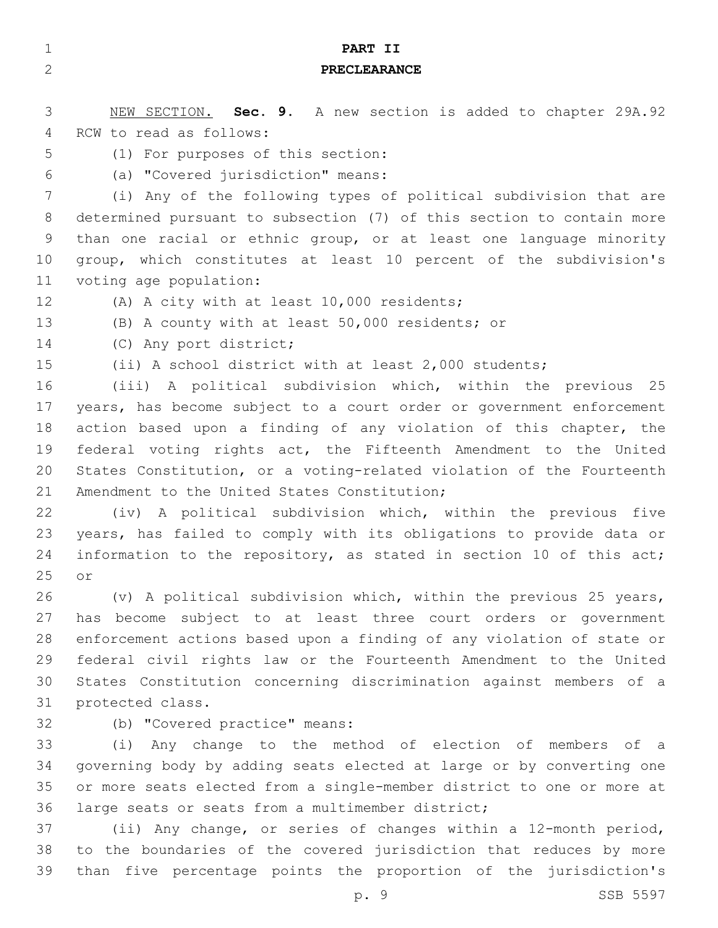| $\mathbf{1}$ | PART II                                                               |
|--------------|-----------------------------------------------------------------------|
| $\mathbf{2}$ | <b>PRECLEARANCE</b>                                                   |
|              |                                                                       |
| 3            | NEW SECTION. Sec. 9. A new section is added to chapter 29A.92         |
| 4            | RCW to read as follows:                                               |
| 5            | (1) For purposes of this section:                                     |
| 6            | (a) "Covered jurisdiction" means:                                     |
| 7            | (i) Any of the following types of political subdivision that are      |
| 8            | determined pursuant to subsection (7) of this section to contain more |
| 9            | than one racial or ethnic group, or at least one language minority    |
| 10           | group, which constitutes at least 10 percent of the subdivision's     |
| 11           | voting age population:                                                |
| 12           | (A) A city with at least 10,000 residents;                            |
| 13           | (B) A county with at least 50,000 residents; or                       |
| 14           | (C) Any port district;                                                |
| 15           | (ii) A school district with at least 2,000 students;                  |
| 16           | (iii) A political subdivision which, within the previous 25           |
| 17           | years, has become subject to a court order or government enforcement  |
| 18           | action based upon a finding of any violation of this chapter, the     |
| 19           | federal voting rights act, the Fifteenth Amendment to the United      |
| 20           | States Constitution, or a voting-related violation of the Fourteenth  |
| 21           | Amendment to the United States Constitution;                          |
| 22           | (iv) A political subdivision which, within the previous five          |
| 23           | years, has failed to comply with its obligations to provide data or   |
| 24           | information to the repository, as stated in section 10 of this act;   |
| 25           | or                                                                    |
| 26           | (v) A political subdivision which, within the previous 25 years,      |
| 27           | has become subject to at least three court orders or government       |
| 28           | enforcement actions based upon a finding of any violation of state or |
| 29           | federal civil rights law or the Fourteenth Amendment to the United    |
| 30           | States Constitution concerning discrimination against members of a    |
| 31           | protected class.                                                      |
| 32           | (b) "Covered practice" means:                                         |
| 33           | (i) Any change to the method of election of members of a              |
| 34           | governing body by adding seats elected at large or by converting one  |
| 35           | or more seats elected from a single-member district to one or more at |
| 36           | large seats or seats from a multimember district;                     |
| 37           | (ii) Any change, or series of changes within a 12-month period,       |
| 38           | to the boundaries of the covered jurisdiction that reduces by more    |

p. 9 SSB 5597

than five percentage points the proportion of the jurisdiction's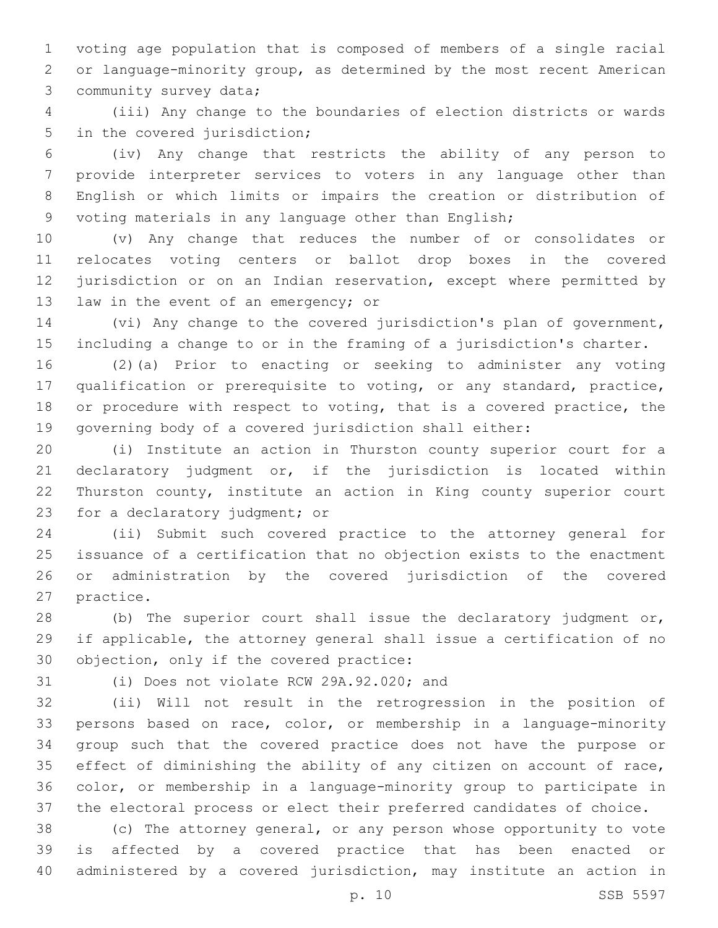voting age population that is composed of members of a single racial or language-minority group, as determined by the most recent American 3 community survey data;

 (iii) Any change to the boundaries of election districts or wards 5 in the covered jurisdiction;

 (iv) Any change that restricts the ability of any person to provide interpreter services to voters in any language other than English or which limits or impairs the creation or distribution of voting materials in any language other than English;

 (v) Any change that reduces the number of or consolidates or relocates voting centers or ballot drop boxes in the covered jurisdiction or on an Indian reservation, except where permitted by 13 law in the event of an emergency; or

 (vi) Any change to the covered jurisdiction's plan of government, including a change to or in the framing of a jurisdiction's charter.

 (2)(a) Prior to enacting or seeking to administer any voting qualification or prerequisite to voting, or any standard, practice, or procedure with respect to voting, that is a covered practice, the governing body of a covered jurisdiction shall either:

 (i) Institute an action in Thurston county superior court for a declaratory judgment or, if the jurisdiction is located within Thurston county, institute an action in King county superior court 23 for a declaratory judgment; or

 (ii) Submit such covered practice to the attorney general for issuance of a certification that no objection exists to the enactment or administration by the covered jurisdiction of the covered 27 practice.

 (b) The superior court shall issue the declaratory judgment or, if applicable, the attorney general shall issue a certification of no 30 objection, only if the covered practice:

31 (i) Does not violate RCW 29A.92.020; and

 (ii) Will not result in the retrogression in the position of persons based on race, color, or membership in a language-minority group such that the covered practice does not have the purpose or effect of diminishing the ability of any citizen on account of race, color, or membership in a language-minority group to participate in the electoral process or elect their preferred candidates of choice.

 (c) The attorney general, or any person whose opportunity to vote is affected by a covered practice that has been enacted or administered by a covered jurisdiction, may institute an action in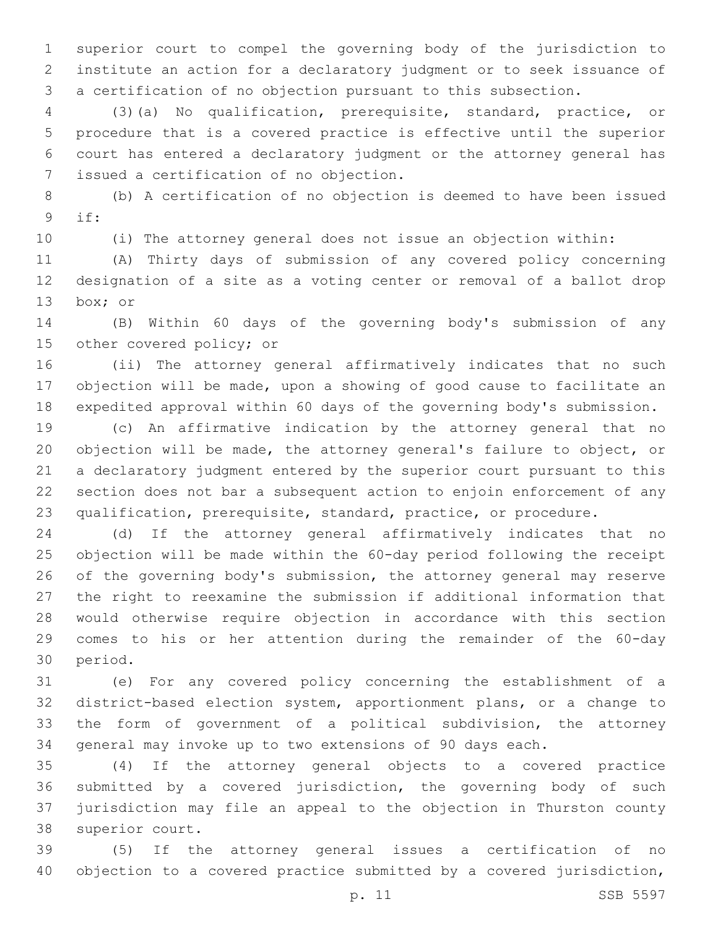superior court to compel the governing body of the jurisdiction to institute an action for a declaratory judgment or to seek issuance of a certification of no objection pursuant to this subsection.

 (3)(a) No qualification, prerequisite, standard, practice, or procedure that is a covered practice is effective until the superior court has entered a declaratory judgment or the attorney general has issued a certification of no objection.7

 (b) A certification of no objection is deemed to have been issued if:9

(i) The attorney general does not issue an objection within:

 (A) Thirty days of submission of any covered policy concerning designation of a site as a voting center or removal of a ballot drop 13 box; or

 (B) Within 60 days of the governing body's submission of any 15 other covered policy; or

 (ii) The attorney general affirmatively indicates that no such objection will be made, upon a showing of good cause to facilitate an expedited approval within 60 days of the governing body's submission.

 (c) An affirmative indication by the attorney general that no objection will be made, the attorney general's failure to object, or a declaratory judgment entered by the superior court pursuant to this section does not bar a subsequent action to enjoin enforcement of any qualification, prerequisite, standard, practice, or procedure.

 (d) If the attorney general affirmatively indicates that no objection will be made within the 60-day period following the receipt of the governing body's submission, the attorney general may reserve the right to reexamine the submission if additional information that would otherwise require objection in accordance with this section comes to his or her attention during the remainder of the 60-day 30 period.

 (e) For any covered policy concerning the establishment of a district-based election system, apportionment plans, or a change to the form of government of a political subdivision, the attorney general may invoke up to two extensions of 90 days each.

 (4) If the attorney general objects to a covered practice submitted by a covered jurisdiction, the governing body of such jurisdiction may file an appeal to the objection in Thurston county 38 superior court.

 (5) If the attorney general issues a certification of no objection to a covered practice submitted by a covered jurisdiction,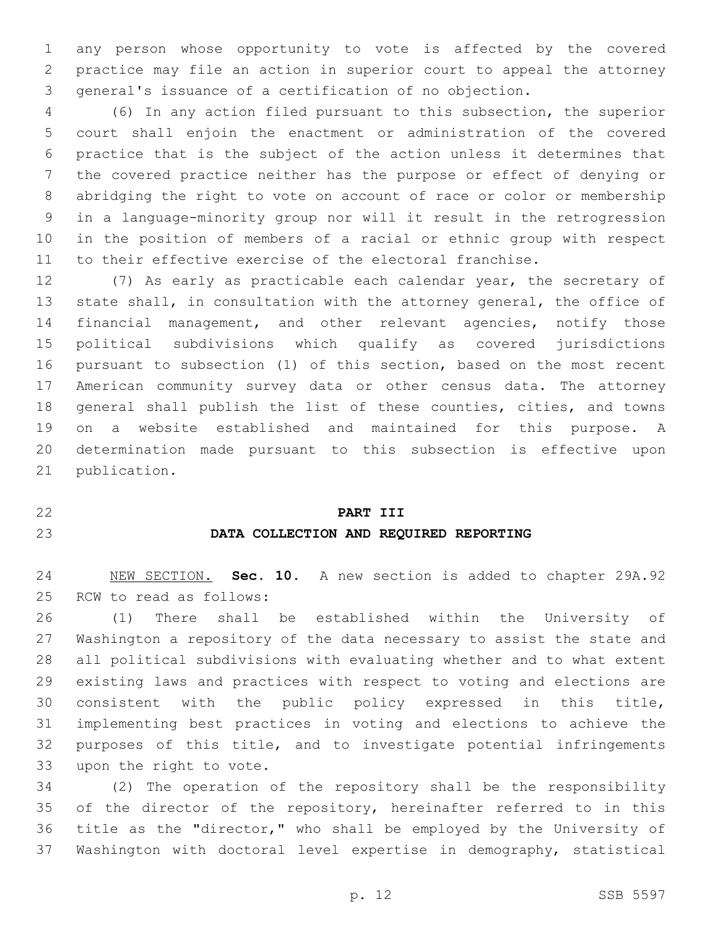any person whose opportunity to vote is affected by the covered practice may file an action in superior court to appeal the attorney general's issuance of a certification of no objection.

 (6) In any action filed pursuant to this subsection, the superior court shall enjoin the enactment or administration of the covered practice that is the subject of the action unless it determines that the covered practice neither has the purpose or effect of denying or abridging the right to vote on account of race or color or membership in a language-minority group nor will it result in the retrogression in the position of members of a racial or ethnic group with respect to their effective exercise of the electoral franchise.

 (7) As early as practicable each calendar year, the secretary of state shall, in consultation with the attorney general, the office of financial management, and other relevant agencies, notify those political subdivisions which qualify as covered jurisdictions pursuant to subsection (1) of this section, based on the most recent American community survey data or other census data. The attorney general shall publish the list of these counties, cities, and towns on a website established and maintained for this purpose. A determination made pursuant to this subsection is effective upon 21 publication.

#### **PART III**

### **DATA COLLECTION AND REQUIRED REPORTING**

 NEW SECTION. **Sec. 10.** A new section is added to chapter 29A.92 25 RCW to read as follows:

 (1) There shall be established within the University of Washington a repository of the data necessary to assist the state and all political subdivisions with evaluating whether and to what extent existing laws and practices with respect to voting and elections are consistent with the public policy expressed in this title, implementing best practices in voting and elections to achieve the purposes of this title, and to investigate potential infringements 33 upon the right to vote.

 (2) The operation of the repository shall be the responsibility 35 of the director of the repository, hereinafter referred to in this title as the "director," who shall be employed by the University of Washington with doctoral level expertise in demography, statistical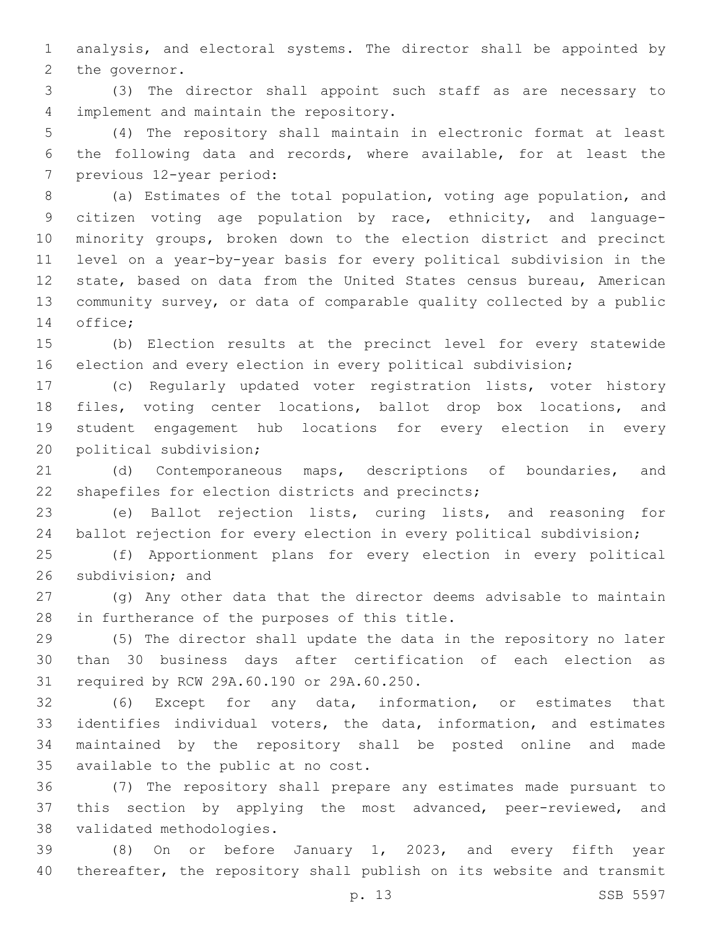analysis, and electoral systems. The director shall be appointed by 2 the governor.

 (3) The director shall appoint such staff as are necessary to 4 implement and maintain the repository.

 (4) The repository shall maintain in electronic format at least the following data and records, where available, for at least the 7 previous 12-year period:

 (a) Estimates of the total population, voting age population, and citizen voting age population by race, ethnicity, and language- minority groups, broken down to the election district and precinct level on a year-by-year basis for every political subdivision in the state, based on data from the United States census bureau, American community survey, or data of comparable quality collected by a public 14 office;

 (b) Election results at the precinct level for every statewide election and every election in every political subdivision;

 (c) Regularly updated voter registration lists, voter history files, voting center locations, ballot drop box locations, and student engagement hub locations for every election in every 20 political subdivision;

 (d) Contemporaneous maps, descriptions of boundaries, and 22 shapefiles for election districts and precincts;

 (e) Ballot rejection lists, curing lists, and reasoning for ballot rejection for every election in every political subdivision;

 (f) Apportionment plans for every election in every political 26 subdivision; and

 (g) Any other data that the director deems advisable to maintain 28 in furtherance of the purposes of this title.

 (5) The director shall update the data in the repository no later than 30 business days after certification of each election as 31 required by RCW 29A.60.190 or 29A.60.250.

 (6) Except for any data, information, or estimates that identifies individual voters, the data, information, and estimates maintained by the repository shall be posted online and made 35 available to the public at no cost.

 (7) The repository shall prepare any estimates made pursuant to this section by applying the most advanced, peer-reviewed, and 38 validated methodologies.

 (8) On or before January 1, 2023, and every fifth year thereafter, the repository shall publish on its website and transmit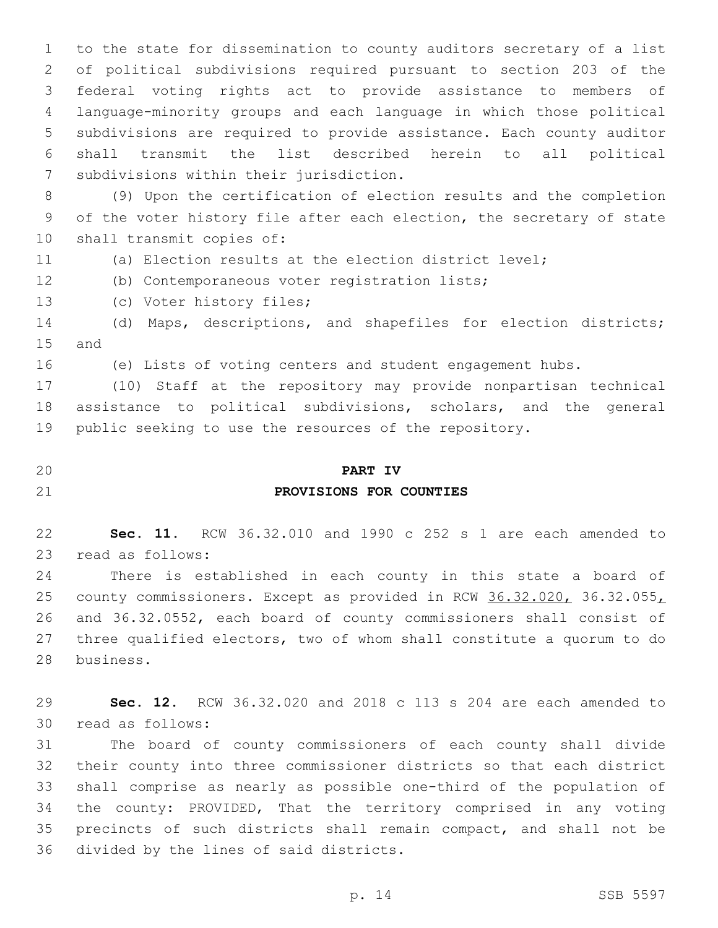to the state for dissemination to county auditors secretary of a list of political subdivisions required pursuant to section 203 of the federal voting rights act to provide assistance to members of language-minority groups and each language in which those political subdivisions are required to provide assistance. Each county auditor shall transmit the list described herein to all political 7 subdivisions within their jurisdiction.

 (9) Upon the certification of election results and the completion of the voter history file after each election, the secretary of state 10 shall transmit copies of:

(a) Election results at the election district level;

12 (b) Contemporaneous voter registration lists;

13 (c) Voter history files;

 (d) Maps, descriptions, and shapefiles for election districts; 15 and

(e) Lists of voting centers and student engagement hubs.

 (10) Staff at the repository may provide nonpartisan technical assistance to political subdivisions, scholars, and the general public seeking to use the resources of the repository.

## **PART IV**

## **PROVISIONS FOR COUNTIES**

 **Sec. 11.** RCW 36.32.010 and 1990 c 252 s 1 are each amended to 23 read as follows:

 There is established in each county in this state a board of county commissioners. Except as provided in RCW 36.32.020, 36.32.055, and 36.32.0552, each board of county commissioners shall consist of three qualified electors, two of whom shall constitute a quorum to do 28 business.

 **Sec. 12.** RCW 36.32.020 and 2018 c 113 s 204 are each amended to read as follows:30

 The board of county commissioners of each county shall divide their county into three commissioner districts so that each district shall comprise as nearly as possible one-third of the population of the county: PROVIDED, That the territory comprised in any voting precincts of such districts shall remain compact, and shall not be 36 divided by the lines of said districts.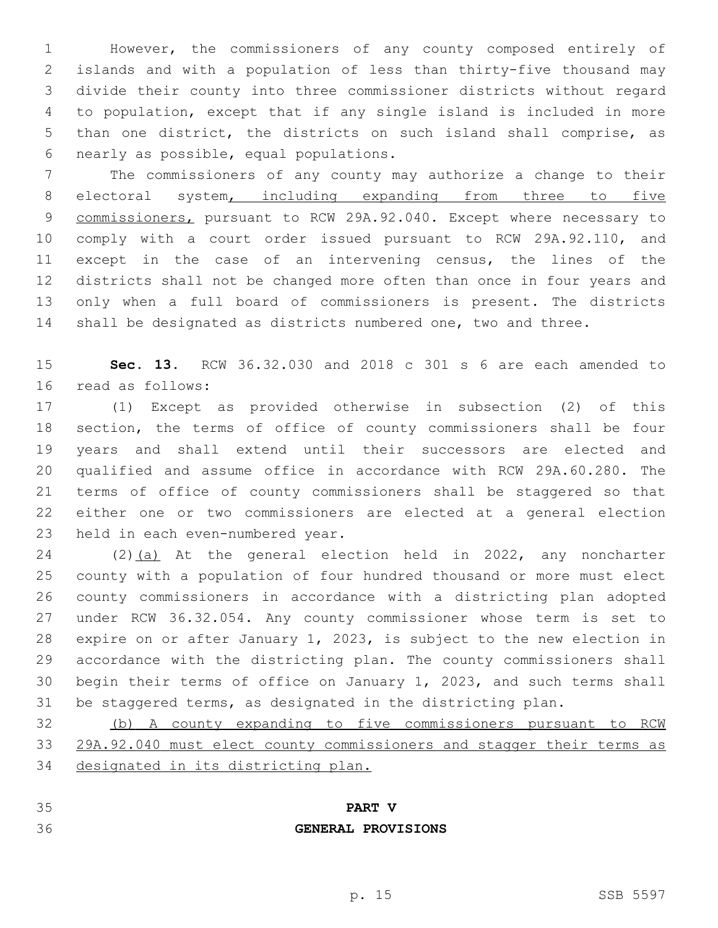However, the commissioners of any county composed entirely of islands and with a population of less than thirty-five thousand may divide their county into three commissioner districts without regard to population, except that if any single island is included in more than one district, the districts on such island shall comprise, as nearly as possible, equal populations.6

 The commissioners of any county may authorize a change to their 8 electoral system, including expanding from three to five 9 commissioners, pursuant to RCW 29A.92.040. Except where necessary to comply with a court order issued pursuant to RCW 29A.92.110, and except in the case of an intervening census, the lines of the districts shall not be changed more often than once in four years and only when a full board of commissioners is present. The districts shall be designated as districts numbered one, two and three.

 **Sec. 13.** RCW 36.32.030 and 2018 c 301 s 6 are each amended to 16 read as follows:

 (1) Except as provided otherwise in subsection (2) of this section, the terms of office of county commissioners shall be four years and shall extend until their successors are elected and qualified and assume office in accordance with RCW 29A.60.280. The terms of office of county commissioners shall be staggered so that either one or two commissioners are elected at a general election 23 held in each even-numbered year.

24 (2)(a) At the general election held in 2022, any noncharter county with a population of four hundred thousand or more must elect county commissioners in accordance with a districting plan adopted under RCW 36.32.054. Any county commissioner whose term is set to expire on or after January 1, 2023, is subject to the new election in accordance with the districting plan. The county commissioners shall begin their terms of office on January 1, 2023, and such terms shall be staggered terms, as designated in the districting plan.

 (b) A county expanding to five commissioners pursuant to RCW 29A.92.040 must elect county commissioners and stagger their terms as designated in its districting plan.

## **PART V**

## **GENERAL PROVISIONS**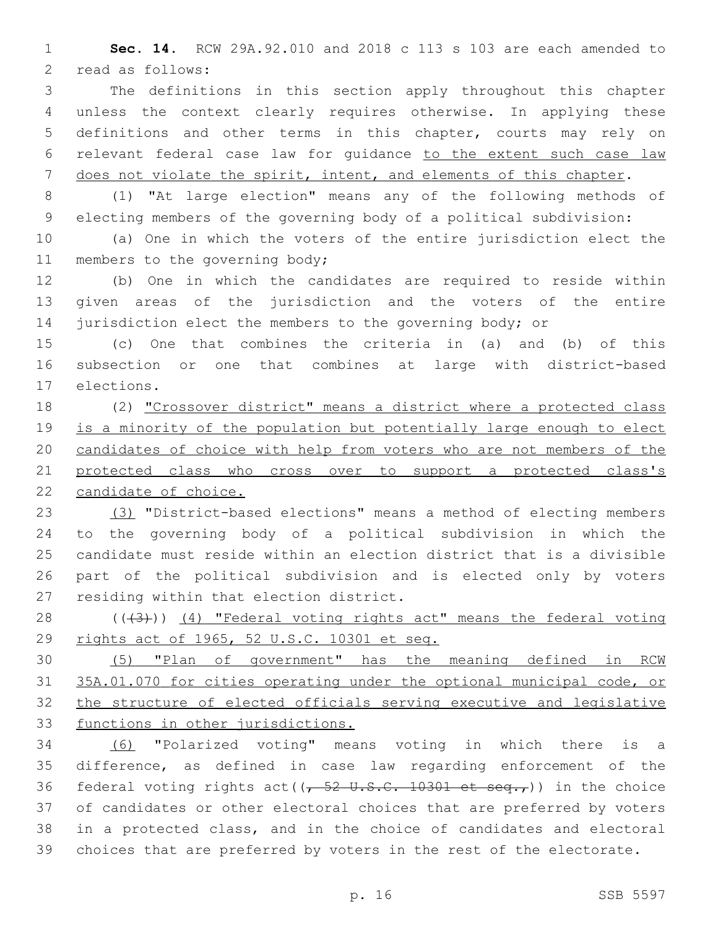**Sec. 14.** RCW 29A.92.010 and 2018 c 113 s 103 are each amended to 2 read as follows:

 The definitions in this section apply throughout this chapter unless the context clearly requires otherwise. In applying these definitions and other terms in this chapter, courts may rely on relevant federal case law for guidance to the extent such case law does not violate the spirit, intent, and elements of this chapter.

 (1) "At large election" means any of the following methods of electing members of the governing body of a political subdivision:

 (a) One in which the voters of the entire jurisdiction elect the 11 members to the governing body;

 (b) One in which the candidates are required to reside within given areas of the jurisdiction and the voters of the entire 14 jurisdiction elect the members to the governing body; or

 (c) One that combines the criteria in (a) and (b) of this subsection or one that combines at large with district-based 17 elections.

 (2) "Crossover district" means a district where a protected class is a minority of the population but potentially large enough to elect candidates of choice with help from voters who are not members of the protected class who cross over to support a protected class's candidate of choice.

 (3) "District-based elections" means a method of electing members to the governing body of a political subdivision in which the candidate must reside within an election district that is a divisible part of the political subdivision and is elected only by voters 27 residing within that election district.

28 (((43))) (4) "Federal voting rights act" means the federal voting rights act of 1965, 52 U.S.C. 10301 et seq.

 (5) "Plan of government" has the meaning defined in RCW 35A.01.070 for cities operating under the optional municipal code, or the structure of elected officials serving executive and legislative functions in other jurisdictions.

 (6) "Polarized voting" means voting in which there is a difference, as defined in case law regarding enforcement of the 36 federal voting rights act( $\left(\frac{1}{2} - \frac{1}{2} + \frac{1}{2} + \frac{1}{2} + \frac{1}{2} + \frac{1}{2} + \frac{1}{2} + \frac{1}{2} + \frac{1}{2} + \frac{1}{2} + \frac{1}{2} + \frac{1}{2} + \frac{1}{2} + \frac{1}{2} + \frac{1}{2} + \frac{1}{2} + \frac{1}{2} + \frac{1}{2} + \frac{1}{2} + \frac{1}{2} + \frac{1}{2} + \frac{1}{2} + \frac{1}{2} + \frac{1}{$  of candidates or other electoral choices that are preferred by voters in a protected class, and in the choice of candidates and electoral choices that are preferred by voters in the rest of the electorate.